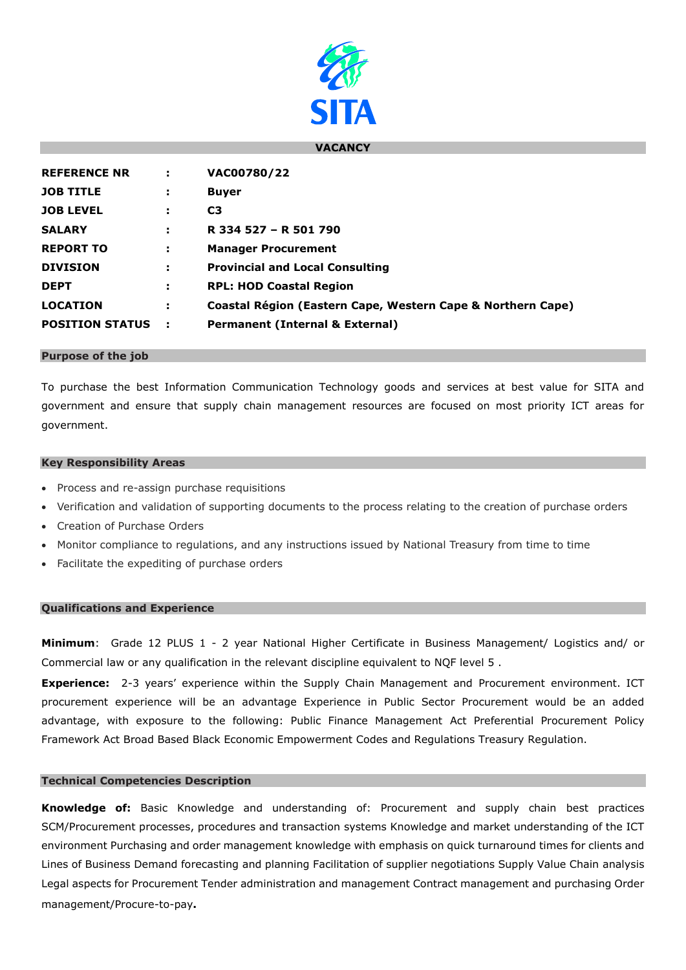

### **VACANCY**

| <b>REFERENCE NR</b>    | ÷ | VAC00780/22                                                 |
|------------------------|---|-------------------------------------------------------------|
| <b>JOB TITLE</b>       | ÷ | <b>Buyer</b>                                                |
| <b>JOB LEVEL</b>       | ÷ | C <sub>3</sub>                                              |
| <b>SALARY</b>          | ÷ | R 334 527 - R 501 790                                       |
| <b>REPORT TO</b>       | ÷ | <b>Manager Procurement</b>                                  |
| <b>DIVISION</b>        | ÷ | <b>Provincial and Local Consulting</b>                      |
| <b>DEPT</b>            | ÷ | <b>RPL: HOD Coastal Region</b>                              |
| <b>LOCATION</b>        | ÷ | Coastal Région (Eastern Cape, Western Cape & Northern Cape) |
| <b>POSITION STATUS</b> |   | <b>Permanent (Internal &amp; External)</b>                  |

### **Purpose of the job**

To purchase the best Information Communication Technology goods and services at best value for SITA and government and ensure that supply chain management resources are focused on most priority ICT areas for government.

### **Key Responsibility Areas**

- Process and re-assign purchase requisitions
- Verification and validation of supporting documents to the process relating to the creation of purchase orders
- Creation of Purchase Orders
- Monitor compliance to regulations, and any instructions issued by National Treasury from time to time
- Facilitate the expediting of purchase orders

## **Qualifications and Experience**

**Minimum**: Grade 12 PLUS 1 - 2 year National Higher Certificate in Business Management/ Logistics and/ or Commercial law or any qualification in the relevant discipline equivalent to NQF level 5 .

**Experience:** 2-3 years' experience within the Supply Chain Management and Procurement environment. ICT procurement experience will be an advantage Experience in Public Sector Procurement would be an added advantage, with exposure to the following: Public Finance Management Act Preferential Procurement Policy Framework Act Broad Based Black Economic Empowerment Codes and Regulations Treasury Regulation.

## **Technical Competencies Description**

**Knowledge of:** Basic Knowledge and understanding of: Procurement and supply chain best practices SCM/Procurement processes, procedures and transaction systems Knowledge and market understanding of the ICT environment Purchasing and order management knowledge with emphasis on quick turnaround times for clients and Lines of Business Demand forecasting and planning Facilitation of supplier negotiations Supply Value Chain analysis Legal aspects for Procurement Tender administration and management Contract management and purchasing Order management/Procure-to-pay**.**